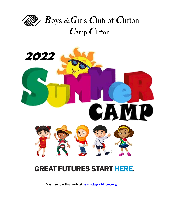



# **GREAT FUTURES START HERE.**

 **Visit us on the web at www.bgcclifton.org**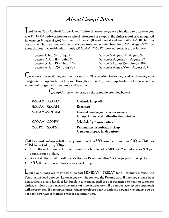### About Camp Clifton

 $\prod_{\rm he\,Boys}$ & Girls Club of Clifton's Camp Clifton Summer Program is a full day camp for members ages  $6$  – 14. (1st grade verification on school letter head or a copy of the child's report card is required for campers  $6$  years of age.) Sessions run for a one (1) week period and are limited to  $240$  children per session. There are nine sessions from which to choose running from June  $28$ th – August  $27$ th. The hours of operation are Monday – Friday, 8:30 AM – 5:30 PM. Summer sessions are as follows:

Session 1:  $\mathrm{July}5^{\mathrm{th}} - \mathrm{July}8^{\mathrm{th}}$ Session 2: July  $11^{th}$  – July  $15^{th}$ Session 3: July  $18^{\text{th}}$  – July  $22^{\text{nd}}$ 

Session 5: August  $1^{st}$  – August  $5^{th}$ Session 6: August  $8^{\text{th}}$  – August  $12^{\text{th}}$  Session 7: August 15th – August 19th Session 4: July  $25^{\text{th}}$  – July  $29^{\text{th}}$  Session 8: August  $22^{\text{nd}}$  – August  $26^{\text{th}}$ 

 ${\mathbf C}$ ampers are placed into groups with a ratio of  $20$ :1 according to their age and will be assigned a designated group leader and aides. Throughout the day the group leader and aide schedule supervised programs for campers' participation.

Camp Clifton will operate on the schedule provided below:

| $8.30$ AM $-10.00$ AM | Curbside Drop-off                                                              |
|-----------------------|--------------------------------------------------------------------------------|
| 8:30 AM - 9:00 AM     | <b>Breakfast</b>                                                               |
| $9.00$ AM $-9.30$ AM  | General meeting and announcements<br>Groups' formed and daily attendance taken |
| $9.30$ AM $-5.00$ PM  | Scheduled group activities                                                     |
| 5.00 PM - 5.30 PM     | Preparation for curbside pick up<br>Campers prepare for departure              |

Children must be dropped off to camp no earlier than 8:30am and no later than 10:00am. Children MUST be picked up by 5:30pm.

- First offense for late pick up will result in a late fee of \$15.00 per 15 minutes after 5:30pm, payable upon pickup.
- A second offense will result in a \$30 fee per 15 minutes after 5:30pm, payable upon pickup.
- A 3rd offense will result in a suspension of camp.

Lunch and snack are provided at no cost MONDAY – FRIDAY for all campers through the Pomptonian Food Service. Lunch menus will be sent via the Remind app. If packing a lunch from home, please a cold lunch or hot lunch in a thermos. Staff are not permitted to heat up lunch for children. Please keep in mind we are a nut-free environment. If a camper is going on a trip lunch will be provided. If packing a lunch from home please pack in a plastic bag and we request you do not pack any glass containers or foods containing nuts.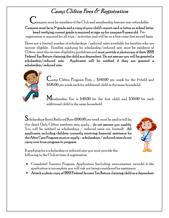## Camp Clifton Fees & Registration

Campers must be members of the Club and membership fees are non-refundable.

Campers must be in  $1$ <sup>st</sup> grade and a copy of your child's report card or letter on school letter head verifying current grade is required at sign up for campers  $6$  years old. Pre-

registration is required for all trips / activities, and will be on a first come first served basis.

There are a limited number of scholarships /reduced rates available for families who are income eligible. Families applying for scholarship/reduced rate must be residents of Clifton, meet the income eligibility guidelines and **must provide a photocopy of their**  $2021$ Federal Tax Return claiming the child as a dependent. Do not assume you will be granted a scholarship/reduced rate. Applicants will be notified if they are granted a scholarship/reduced rate.



 $\mathcal{C}_{\text{amp}}$  Clifton Program Fees  $\sim$  \$140.00 per week for the 1st-child and \$126.00 per week each for additional child in the same household.

Membership Fee is \$40.00 for the first child and \$30.00 for each additional child in the same household

Scholarships (free), Reduced Rate (\$90.00 per week must be paid in full by due date). Only Clifton residents may apply – do not assume you qualify. You will be notified as scholarships / reduced rates are limited). All applicants, including children currently receiving financial assistance for the After Care Program must re-apply – scholarships / reduced rates do not carry over from program to program.



If applying for a scholarship or reduced rate you must provide the following to the Club at time of registration:

- Completed Summer Program Application (including immunization records) if the application is incomplete you will risk not being considered for assistance;
- Attach a photo copy of 2021 Federal Income Tax Return claiming child as a dependent.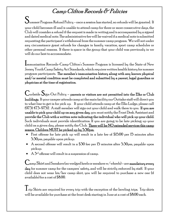## Camp Clifton Records & Policies

Summer Program Refund Policy - once a session has started, no refunds will be granted. If your child becomes ill and is unable to attend camp for three or more consecutive days, the Club will consider a refund if the request is made in writing and is accompanied by a signed and dated medical note. The administrative fee will be waived if a medical note is submitted requesting the participant's withdrawal from the summer camp program. We will not under any circumstance grant refunds for changes in family vacation, sport camp schedules or other personal reasons. If there is space in the group that your child was previously in we will do our best to accommodate.

Immunization Records–Camp Clifton's Summer Program is licensed by the State of New Jersey Youth Camp Safety Act Standards, which requires written health history for summer program participants. The member's immunization history along with any known physical and/or mental condition must be completed and submitted by a parent, legal guardian or physician at the time of registration.

 $\mathbf C$ urbside  $\mathbf S$ ign-Out Policy – parents or visitors are not permitted into the Elks or Club buildings. If your camper attends camp at the main facility our Outtake staff will direct you to what line to get in for pick up. If your child attends camp at the Elks Lodge, please call  $(973)$  473-9752. A staff member will sign out your child and walk them to you. **If you are** unable to pick your child up on any given day, you must notify the Front Desk Assistant and provide the Club with a written note indicating the individual who will pick up your child. Such individuals must provide identification. If you are going to be late picking up your child on a given day, please notify the Club. There will be NO extended services this camp season. Children MUST be picked up by 5:30pm.

- First offense for late pick up will result in a late fee of \$15.00 per 15 minutes after 5:30pm, payable upon pickup.
- A second offense will result in a \$30 fee per 15 minutes after 5:30pm, payable upon pickup.
- $A$  3<sup>rd</sup> offense will result in a suspension of camp.

Camp Shirt and Sneakers (no wedged heels or sneakers w/wheels) – are mandatory every day for summer camp for the campers' safety, and will be strictly enforced by staff. If your child does not wear his/her camp shirt, you will be required to purchase a new one (if available) for a cost of \$8.00.

I rip Shirts are required for every trip with the exception of the bowling trips. Trip shirts will be available for purchase at the front desk starting in June at a cost of \$8.00 each.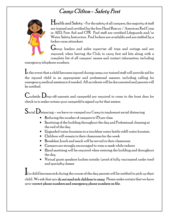### Camp Clifton - Safety First



Health and Safety - For the safety of all campers, the majority of staff are trained and certified by the Iron Hand Rescue / American Red Cross in AED, First Aid and CPR. Pool staff are certified Lifeguards and/or Water Safety Instructors. Pool lockers are available and are staffed by a locker room attendant.

 $\dot{\mathbf{J}}$ roup leaders and aides supervise all trips and outings and are required, when leaving the Club, to carry first aid kits along with a complete list of all campers' names and contact information, including

emergency telephone numbers.

In the event that a child becomes injured during camp, our trained staff will provide aid for the injured child in an appropriate and professional manner, including calling for emergency medical assistance if needed. All accidents will be documented and parents will be notified.

Curbside  $D_{\text{rop-off-parents}}$  and camper(s) are required to come to the front door for check in to make certain your camper(s) is signed up for that session.

 $\mathbf{S}_{\rm ocial}\mathbf{D}_{\rm{istancing}}$  – we have re-vamped our Camp to implement social distancing

- Reducing the number of campers to  $25$  per class
- Sanitizing of the building throughout the day and Professional cleaning at the end of the day
- Upgraded water fountains to a touchless water bottle refill water fountain
- Children will remain in their classrooms for the week
- Breakfast, lunch and snack will be served in their classrooms
- Campers are strongly encouraged to wear a mask while indoors
- Hand sanitizing will be required when entering the building and throughout the day
- Virtual guest speakers (unless outside/proof of fully vaccinated under tent) and specialty classes

If a child becomes sick during the course of the day parents will be notified to pick up their child. We ask that you **do not send sick children to camp**. Please make certain that we have your correct phone numbers and emergency phone numbers on file.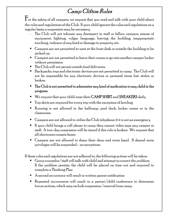### Camp Clifton Rules

 $\rm F$ or the safety of all campers, we request that you read and talk with your child about the rules and regulations of the Club. If your child ignores the rules and regulations on a regular basis, a suspension may be necessary.

- The Club will not tolerate any disrespect to staff or fellow campers, misuse of equipment, fighting, vulgar language, leaving the building, inappropriate touching, violence of any kind or damage to property, etc.
- Campers are not permitted to wait at the front desk or outside the building to be picked up.
- $\blacksquare$  Campers are not permitted to leave their rooms or go into another camper locker without permission
- **The Club will not permit outside food deliveries.**
- $\blacksquare$  Backpacks, toys and electronic devices are not permitted in camp. The Club will not be responsible for any electronic devices or personal items lost. stolen or broken
- $\blacksquare$  The Club is not permitted to administer any kind of medication to any child in the program.
- We require that your child wear their **CAMP SHIRT** and **SNEAKERS** daily
- $\blacksquare$  Trip shirts are required for every trip with the exception of bowling
- Running is not allowed in the hallways, pool deck, locker rooms or in the classrooms.
- Campers are not allowed to utilize the Club telephone if it is not an emergency
- $\blacksquare$  If your child brings a cell phone to camp they cannot video tape any camper or staff. A two-day suspension will be issued if this rule is broken. We request that all electronics remain home
- Campers are not allowed to share their deep end swim band. If shared swim privileges will be suspended – no exceptions.

If these rules and regulations are not adhered to, the following actions will be taken:

- Group counselor/staff will talk with child and attempt to correct the problem;
- If the problem persists, the child will be placed on time out and required to complete a Thinking Plan
- $\blacksquare$  A second occurrence will result in written parent notification
- Repeated occurrences will result in a parent/child conference to determine future actions, which may include suspension/removal from camp.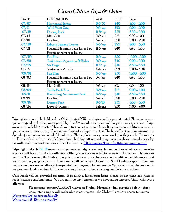### Camp Clifton Trips & Dates

| <b>DATE</b>     | <b>DESTINATION</b>                | <b>AGE</b>            | <b>COST</b> | Time           |
|-----------------|-----------------------------------|-----------------------|-------------|----------------|
| 07/07           | Hurricane Harbor                  | $96 - 10$             | \$40        | $8:30 - 5:30$  |
| 07/11           | <b>Wild West City</b>             | $5\delta$ up          | \$25        | $9:00 - 5:30$  |
| 07/12           | Dorney Park                       | $11\sigma$ up         | \$35        | $8.30 - 5.30$  |
| 07/14           | Mini Golf                         | $5\sigma$ up          | \$15        | $9:00 - 1:00$  |
| 07/19           | Bowling                           | $5\bar{\sigma}$ up    | \$20        | $11:00 - 2:30$ |
| 07/20           | <b>Liberty Science Center</b>     | $6\delta$ up          | \$25        | $9:00 - 5:30$  |
| 07/21           | Fireball Mountain Jello Laser Tag | $11 \, \mathrm{G}$ up | \$40        | $8.45 - 5.30$  |
|                 | Requires waiver see below         |                       |             |                |
| 07/25           | Fun Plex                          | $6\delta$ up          | \$30        | $10:00 - 5:00$ |
| 07/26           | Jenkinson's Aquarium & Rides      | $5\delta$ up          | \$40        | $9:00 - 5:30$  |
| 07/28           | $Six$ $Flags$                     | $11\sigma$ up         | \$40        | $8.30 - 5.30$  |
| 07/27           | Yestercade Arcade                 | Falcons               | \$25        | $11:00 - 4:30$ |
| 08/01           | Fun Plex                          | $6\delta$ up          | \$30        | $10:00 - 5:00$ |
| 08/02           | Fireball Mountain Jello Laser Tag | $9\delta$ up          | \$40        | $8.45 - 5.30$  |
|                 | Requires waiver see below         |                       |             |                |
| 08/04           | Mini Golf                         | $5\sigma$ up          | \$15        | $9:00 - 1:00$  |
| 08/09           | <b>Turtle Back Zoo</b>            | $5\delta$ up          | \$15        | $9:00 - 4:00$  |
| $^{\circ}08/11$ | Keansburg Amusement Park          | $6\delta$ up          | \$40        | $8.30 - 5.30$  |
| 08/15           | Bowling                           | $5\sigma$ up          | \$20        | $11:00 - 2:30$ |
| 08/16           | Dorney Park                       | $96 - 10$             | \$35        | $8:30 - 5:30$  |
| 08/24           | Dave $\delta$ Busters             | Falcons               | \$30        | $11:00 - 4:00$ |

Trip registration will be held on June  $6^{\rm th}$  starting at  $9.50$ am using our online parent portal. Please make sure you are signed up for the parent portal by June  $2^{\rm nd}$  in order for a successful registration experience. Trips are non-refundable/transferable and is on a first come first served basis. It is your responsibility to make sure your camper arrives to camp 15 minutes earlier before departure time. The bus will not wait for late arrivals. Spending money is recommended for all trips. Please place money in an envelop with your child's name on it. Trips marked with an asterisk (\*) requires a bathing suit, a towel, strap on water shoes or sneakers no flip flops allowed as some of the rides will not let them on. [Click here for How to Register for parent portal.](https://www.bgcclifton.org/pub/files/How%20to%20-%20Trips%20(002)%20Final.pdf)

Trips highlighted in  $\rm BLUE$  are trips that parents may sign up to be a chaperone. If selected you will receive a phone call from our Trip Coordinator notifying you were selected to serve as a chaperone. Chaperones must be 21 or older and the Club will pay the cost of the trip for chaperone and credit your childcare account for the camper going on the trip. Chaperones will be responsible for up to  $8$  to  $10$  kids in a group. Campers under your care are not allowed to separate from the group for any reason. We request that chaperones do not purchase food items for children as they may have an unknown allergy or dietary restrictions.

Cold lunch will be provided for trips. If packing a lunch from home please do not pack any glass or foods/snacks containing nuts. We are nut free environment as we have many campers/staff with severe allergies.

Please complete the CORRECT waiver for Fireball Mountain – link provided below – if not completed camper will not be able to participate – the Club will not have access to waivers Waiver for  $11$   $\rm \sigma$  up trip on July  $21^{\rm st}$ j.

Waiver for  $9$   $\&$   $10$  trip on Aug  $2^{\text{nd}}$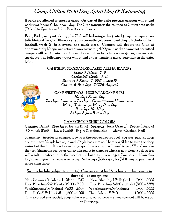### Camp Clifton Field Day, Spirit Day & Swimming

If parks are allowed to open for camp  $\sim$  As part of the daily program campers will attend park trips for one (1) hour each day. The Club transports the campers to Clifton area parks (Oakridge, Sperling or Robin Hood) for outdoor play.

Every Friday as a part of camp, the Club will be busing a designated group of campers over to Robinhood Park, in Clifton for an afternoon outing of recreational play to include: softball, kickball, track & field events, and much more. Campers will depart the Club at approximately 1:30 pm and return at approximately 4:30 pm. If park trips are not permitted campers will participate in various outdoor activities to include water games, tournaments, sports, etc. The following groups will attend or participate in messy activities on the dates below:

#### CAMP SHIRT, SOCKS AND SNEAKERS ARE MANDATORY

Eagles & Falcons - 7/8 Cardinals & Hawks – 7/15 Sparrows & Robins - 7/22 & August 12 Canaries & Blue Jays – 7/29 & August 5



#### CAMP SPIRIT DAYS – MUST WEAR CAMP SHIRT

Mondays-Zombie Day Tuesdays- Tournament Tuesdays - Competitions and Tournaments Wacky Wednesdays- Wacky Dress Day Thursdays- Nerd Day Fridays- Pajama Bottom Day

### CAMP GROUP SHIRT COLORS

Canaries (Daisy) Blue Jays (Heather Blue) Sparrows (Texas Orange) Robins (Orange) Cardinals (Red) Hawks ( Gold) Eagles (Carolina Blue) Falcons (Cardinal Red)

Swimming – in order for campers to swim in the deep end of the pool they must pass the deep end swim test 25 yds free style and 25 yds back stroke. There is a \$1 fee to take the deep water test the first. If you lose or forget your bracelet, you will need to pay \$2 and re-take the test. Sharing bracelets or giving a bracelet to someone who has not taken the deep test will result in confiscation of the bracelet and loss of swim privileges. Campers with hair chin length or longer must wear a swim cap. Swim caps (\$5) or goggles (\$10) may be purchased in the swim office.

### Swim schedule (subject to change). Campers must be 48 inches or taller to swim in the pool – no exceptions.

Mon: Canaries & Falcons 1  $(2.00-2.50)$  Mon: Blue Jays 1 & Eagles 1  $(3.00-3.55)$ Tues: Blue Jays  $2 \&$  Hawks 1(2:00 – 2:50) Tues: Blue Jays  $3 \&$  Cardinals 1(3:00 – 3:55) Wed: Sparrows1 & Robins1  $(2.00 - 2.50)$  Wed: Sparrows2 & Robins2  $(3.00 - 5.55)$ Thur: Eagles $2 \& H_{\text{awks}} 2 \quad (2.00 - 2.50) \quad \text{Thur: } F_{\text{alcons}} 2 \& 3 \quad (3.00 - 3.55)$  $Fi$  – reserved as a special group swim as a prize of the week – announcement will be made on Thursdays.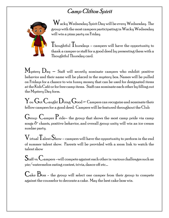## Camp Clifton Spirit



 Wacky Wednesday Spirit Day will be every Wednesday. The group with the most campers participating in Wacky Wednesday will win a pizza party on Friday.

 $\rm T_{houchttul}$   $\rm T_{hursdaus}$  – campers will have the opportunity to thank a camper or staff for a good deed by presenting them with a Thoughtful Thursday card.

 $M_{\text{ystery}}$   $D_{\text{ay}}$  – Staff will secretly nominate campers who exhibit positive behavior and their name will be placed in the mystery box. Names will be pulled on Fridays for a chance to win funny money that can be used for designated items at the Kids Café or for free camp items. Staff can nominate each other by filling out the Mystery Day form.

 ${\rm Y_{ou}}$   ${\rm G_{ot}}$   ${\rm C_{aught}}$   ${\rm D_{oing}}$   ${\rm G_{ood}}$   $-$  Campers can recognize and nominate their fellow campers for a good deed. Campers will be featured throughout the Club

 $\rm G$ roup  $\rm C$ amper  $\rm P$ ride– the group that shows the most camp pride via camp songs  $\delta$  chants, positive behavior, and overall group unity will win an ice cream sundae party.

 $\rm V$ irtual  $\rm T$ alent  $\rm S$ how – campers will have the opportunity to perform in the end of summer talent show. Parents will be provided with a zoom link to watch the talent show ľ

 $\rm S$ taff vs.  $\rm C$ ampers –will compete against each other in various challenges such as: pie/watermelon eating contest, trivia, dance off etc.…

 $\mathbf{C}_{\mathrm{ake}}$   $\mathbf{B}_{\mathrm{oss}}$  - the group will select one camper from their group to compete against the counselor to decorate a cake. May the best cake boss win.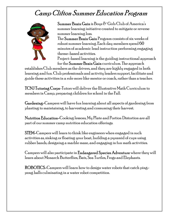# Camp Clifton Summer Education Program



Summer Brain Gain is Boys  $\delta$  Girls Club of America's summer learning initiative created to mitigate or reverse summer learning loss.

The Summer Brain Gain Program consists of six weeks of robust summer learning. Each day members spend 60 minutes of academic lead instruction performing engaging theme-based activities.

Project-based learning is the guiding instructional approach for the Summer Brain Gain curriculum. The approach

establishes Club members as the drivers, and they are highly engaged in both learning and fun. Club professionals and activity leaders support, facilitate and guide these activities in a role more like mentor or coach, rather than a teacher.

TCNJ Tutoring Corps-Tutors will deliver the Illustrative Math Curriculum to members in Camp, preparing children for school in the Fall.

Gardening-Campers will have fun learning about all aspects of gardening from planting to maintaining, to harvesting and consuming their harvest.

Nutrition Education-Cooking lessons, My Plate and Portion Distortion are all part of our summer camp nutrition education offerings.

STEM-Campers will learn to think like engineers when engaged in such activities as, sinking or floating your boat, building a pyramid of cups using rubber bands, designing a marble maze, and engaging in fun math activities.

Campers will also participate in Endangered Species Adventure where they will learn about Monarch Butterflies, Bats, Sea Turtles, Frogs and Elephants.

ROBOTICS-Campers will learn how to design water robots that catch pingpong balls culminating in a water robot competition.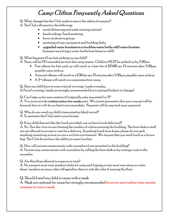# Camp Clifton Frequently Asked Questions

Q: What changes has the Club made to assure the safety of campers?

A: The Club will practice the following:

- social distancing and mask wearing optional
- $\bullet$  handwashing/hand sanitizing
- fewer students in groups
- sanitizing of toys, equipment and building daily
- upgraded water fountains to a touchless water bottle refill water fountain (campers may bring a water bottle from home to refill)

Q: What happens if I am late picking up my child?

A: There will be NO extended services this camp season. Children MUST be picked up by 5:30pm.

- First offense for late pick up will result in a late fee of  $$15.00$  per 15 minutes after  $5.30$ pm, payable upon pickup.
- A second offense will result in a \$30 fee per 15 minutes after 5:30pm, payable upon pickup.
- $\bullet$  A  $\mathfrak{Z}^{\rm rd}$  offense will result in a suspension from camp.

Q: Does my child have to wear a facial covering/mask everyday A: Facial covering/mask are strongly recommended but is optional (subject to change)

Q: Can I sign up for more sessions if I originally only requested 1 or  $2$ ?

A: You must provide written notice two weeks prior. We cannot guarantee that your request will be honored, but we will do our best to accommodate. Payment will be required upon approval.

Q: Why do you need my child's immunization (shot) record?

A: To maintain the Club's state camp license

Q: If my child does not like the lunch provided, can we have lunch delivered?

A: No. Due the virus we are limiting the number of visitors entering the building. The front desk or staff are not allowed to accept or wait for a delivery. If packing lunch from home, please do not pack anything containing nuts as we are a nut free environment. We request that you send lunch in a brown bag. The Club do not have the ability to warm lunches.

Q: How will parents communicate with counselors if not permitted in the building? A: Parents may communicate with counselors by calling the front desk or by writing a note to the counselor.

Q: Are flips flops allowed in camp or on trips?

A: No, campers must wear sneakers daily for camp and if going on trip must wear strap on water shoes/sneakers as many rides will **not** allow them to ride the rides if wearing flip flops

Q: Should I send my child to camp with a mask

A: Mask are optional for camp but strongly recommended however most indoor trips require campers to wear a mask.